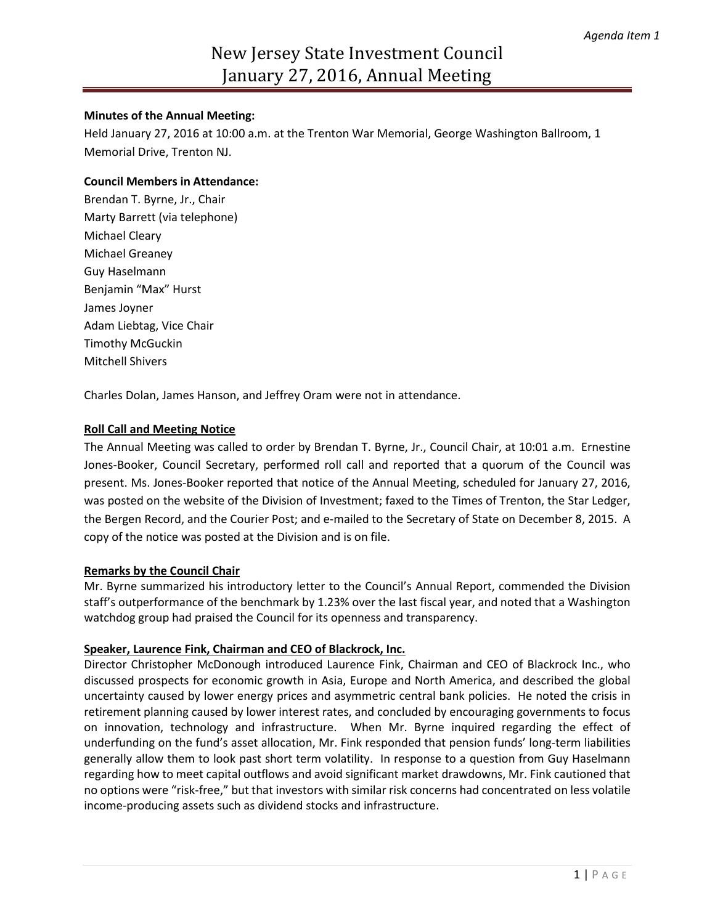#### **Minutes of the Annual Meeting:**

Held January 27, 2016 at 10:00 a.m. at the Trenton War Memorial, George Washington Ballroom, 1 Memorial Drive, Trenton NJ.

#### **Council Members in Attendance:**

Brendan T. Byrne, Jr., Chair Marty Barrett (via telephone) Michael Cleary Michael Greaney Guy Haselmann Benjamin "Max" Hurst James Joyner Adam Liebtag, Vice Chair Timothy McGuckin Mitchell Shivers

Charles Dolan, James Hanson, and Jeffrey Oram were not in attendance.

# **Roll Call and Meeting Notice**

The Annual Meeting was called to order by Brendan T. Byrne, Jr., Council Chair, at 10:01 a.m. Ernestine Jones-Booker, Council Secretary, performed roll call and reported that a quorum of the Council was present. Ms. Jones-Booker reported that notice of the Annual Meeting, scheduled for January 27, 2016, was posted on the website of the Division of Investment; faxed to the Times of Trenton, the Star Ledger, the Bergen Record, and the Courier Post; and e-mailed to the Secretary of State on December 8, 2015. A copy of the notice was posted at the Division and is on file.

# **Remarks by the Council Chair**

Mr. Byrne summarized his introductory letter to the Council's Annual Report, commended the Division staff's outperformance of the benchmark by 1.23% over the last fiscal year, and noted that a Washington watchdog group had praised the Council for its openness and transparency.

# **Speaker, Laurence Fink, Chairman and CEO of Blackrock, Inc.**

Director Christopher McDonough introduced Laurence Fink, Chairman and CEO of Blackrock Inc., who discussed prospects for economic growth in Asia, Europe and North America, and described the global uncertainty caused by lower energy prices and asymmetric central bank policies. He noted the crisis in retirement planning caused by lower interest rates, and concluded by encouraging governments to focus on innovation, technology and infrastructure. When Mr. Byrne inquired regarding the effect of underfunding on the fund's asset allocation, Mr. Fink responded that pension funds' long-term liabilities generally allow them to look past short term volatility. In response to a question from Guy Haselmann regarding how to meet capital outflows and avoid significant market drawdowns, Mr. Fink cautioned that no options were "risk-free," but that investors with similar risk concerns had concentrated on less volatile income-producing assets such as dividend stocks and infrastructure.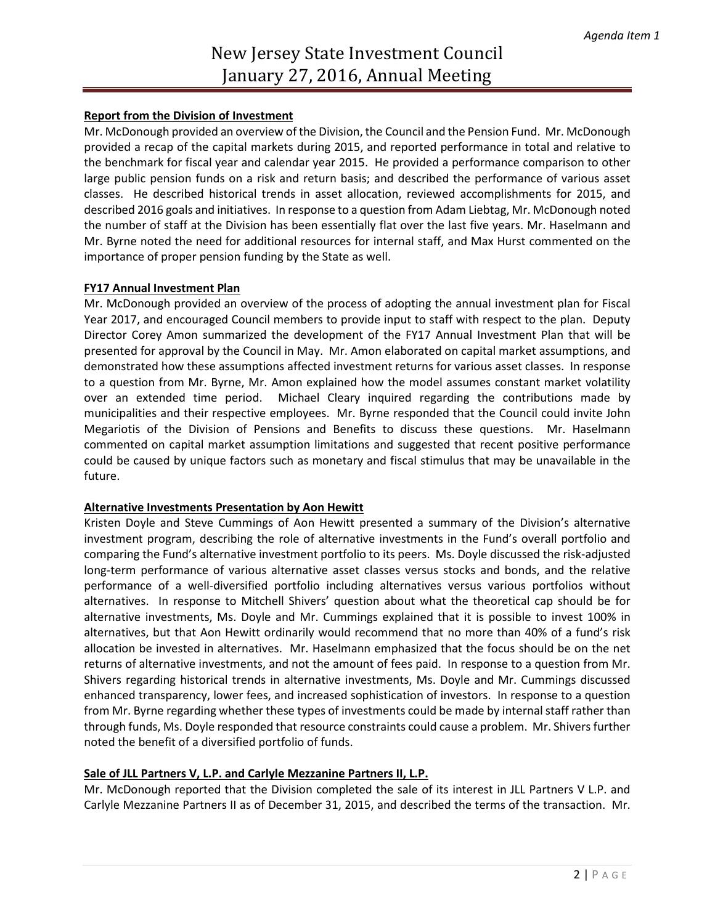# **Report from the Division of Investment**

Mr. McDonough provided an overview of the Division, the Council and the Pension Fund. Mr. McDonough provided a recap of the capital markets during 2015, and reported performance in total and relative to the benchmark for fiscal year and calendar year 2015. He provided a performance comparison to other large public pension funds on a risk and return basis; and described the performance of various asset classes. He described historical trends in asset allocation, reviewed accomplishments for 2015, and described 2016 goals and initiatives. In response to a question from Adam Liebtag, Mr. McDonough noted the number of staff at the Division has been essentially flat over the last five years. Mr. Haselmann and Mr. Byrne noted the need for additional resources for internal staff, and Max Hurst commented on the importance of proper pension funding by the State as well.

# **FY17 Annual Investment Plan**

Mr. McDonough provided an overview of the process of adopting the annual investment plan for Fiscal Year 2017, and encouraged Council members to provide input to staff with respect to the plan. Deputy Director Corey Amon summarized the development of the FY17 Annual Investment Plan that will be presented for approval by the Council in May. Mr. Amon elaborated on capital market assumptions, and demonstrated how these assumptions affected investment returns for various asset classes. In response to a question from Mr. Byrne, Mr. Amon explained how the model assumes constant market volatility over an extended time period. Michael Cleary inquired regarding the contributions made by municipalities and their respective employees. Mr. Byrne responded that the Council could invite John Megariotis of the Division of Pensions and Benefits to discuss these questions. Mr. Haselmann commented on capital market assumption limitations and suggested that recent positive performance could be caused by unique factors such as monetary and fiscal stimulus that may be unavailable in the future.

# **Alternative Investments Presentation by Aon Hewitt**

Kristen Doyle and Steve Cummings of Aon Hewitt presented a summary of the Division's alternative investment program, describing the role of alternative investments in the Fund's overall portfolio and comparing the Fund's alternative investment portfolio to its peers. Ms. Doyle discussed the risk-adjusted long-term performance of various alternative asset classes versus stocks and bonds, and the relative performance of a well-diversified portfolio including alternatives versus various portfolios without alternatives. In response to Mitchell Shivers' question about what the theoretical cap should be for alternative investments, Ms. Doyle and Mr. Cummings explained that it is possible to invest 100% in alternatives, but that Aon Hewitt ordinarily would recommend that no more than 40% of a fund's risk allocation be invested in alternatives. Mr. Haselmann emphasized that the focus should be on the net returns of alternative investments, and not the amount of fees paid. In response to a question from Mr. Shivers regarding historical trends in alternative investments, Ms. Doyle and Mr. Cummings discussed enhanced transparency, lower fees, and increased sophistication of investors. In response to a question from Mr. Byrne regarding whether these types of investments could be made by internal staff rather than through funds, Ms. Doyle responded that resource constraints could cause a problem. Mr. Shivers further noted the benefit of a diversified portfolio of funds.

# **Sale of JLL Partners V, L.P. and Carlyle Mezzanine Partners II, L.P.**

Mr. McDonough reported that the Division completed the sale of its interest in JLL Partners V L.P. and Carlyle Mezzanine Partners II as of December 31, 2015, and described the terms of the transaction. Mr.